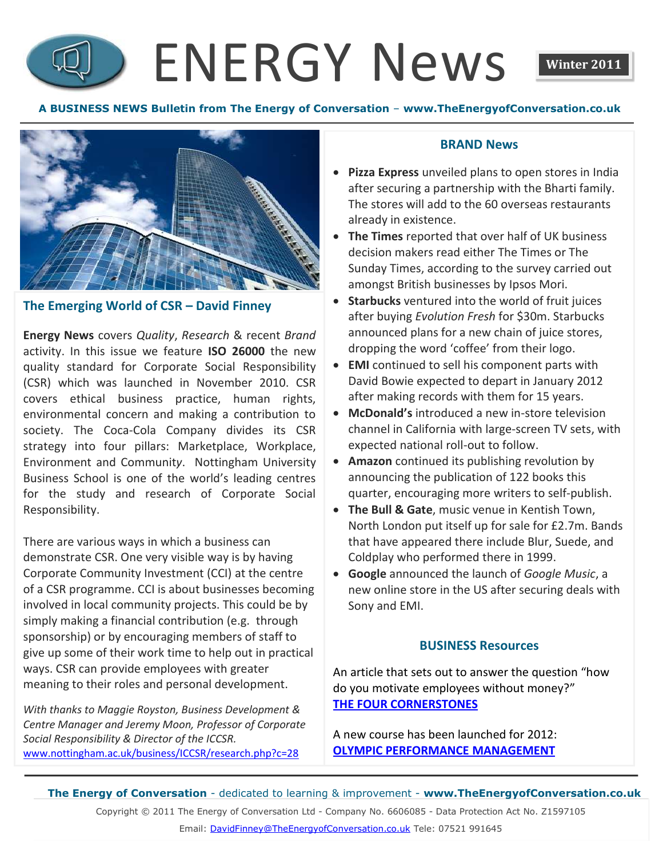# ENERGY News **Winter 2011**



### **The Emerging World of CSR – David Finney**

**Energy News** covers *Quality*, *Research* & recent *Brand* activity. In this issue we feature **ISO 26000** the new quality standard for Corporate Social Responsibility (CSR) which was launched in November 2010. CSR covers ethical business practice, human rights, environmental concern and making a contribution to society. The Coca-Cola Company divides its CSR strategy into four pillars: Marketplace, Workplace, Environment and Communit*y*. Nottingham University Business School is one of the world's leading centres for the study and research of Corporate Social Responsibility.

There are various ways in which a business can demonstrate CSR. One very visible way is by having Corporate Community Investment (CCI) at the centre of a CSR programme. CCI is about businesses becoming involved in local community projects. This could be by simply making a financial contribution (e.g. through sponsorship) or by encouraging members of staff to give up some of their work time to help out in practical ways. CSR can provide employees with greater meaning to their roles and personal development.

*With thanks to Maggie Royston, Business Development & Centre Manager and Jeremy Moon, Professor of Corporate Social Responsibility & Director of the ICCSR.* [www.nottingham.ac.uk/business/ICCSR/research.php?c=28](http://www.nottingham.ac.uk/business/ICCSR/research.php?c=28)

#### **BRAND News**

- **Pizza Express** unveiled plans to open stores in India after securing a partnership with the Bharti family. The stores will add to the 60 overseas restaurants already in existence.
- **The Times** reported that over half of UK business decision makers read either The Times or The Sunday Times, according to the survey carried out amongst British businesses by Ipsos Mori.
- **Starbucks** ventured into the world of fruit juices after buying *Evolution Fresh* for \$30m. Starbucks announced plans for a new chain of juice stores, dropping the word 'coffee' from their logo.
- **EMI** continued to sell his component parts with David Bowie expected to depart in January 2012 after making records with them for 15 years.
- **McDonald's** introduced a new in-store television channel in California with large-screen TV sets, with expected national roll-out to follow.
- **Amazon** continued its publishing revolution by announcing the publication of 122 books this quarter, encouraging more writers to self-publish.
- **The Bull & Gate**, music venue in Kentish Town, North London put itself up for sale for £2.7m. Bands that have appeared there include Blur, Suede, and Coldplay who performed there in 1999.
- **Google** announced the launch of *Google Music*, a new online store in the US after securing deals with Sony and EMI.

### **BUSINESS Resources**

An article that sets out to answer the question "how do you motivate employees without money?" **[THE FOUR CORNERSTONES](http://task.fm/2011/11/how-to-motivate-employees-without-money/)**

A new course has been launched for 2012: **[OLYMPIC PERFORMANCE](http://www.theenergyofconversation.co.uk/Performance%20Management%202012.pdf) MANAGEMENT**

**The Energy of Conversation** - dedicated to learning & improvement - **www.TheEnergyofConversation.co.uk**

Copyright © 2011 The Energy of Conversation Ltd - Company No. 6606085 - Data Protection Act No. Z1597105

Email: [DavidFinney@TheEnergyofConversation.co.uk](mailto:DavidFinney@TheEnergyofConversation.co.uk) Tele: 07521 991645